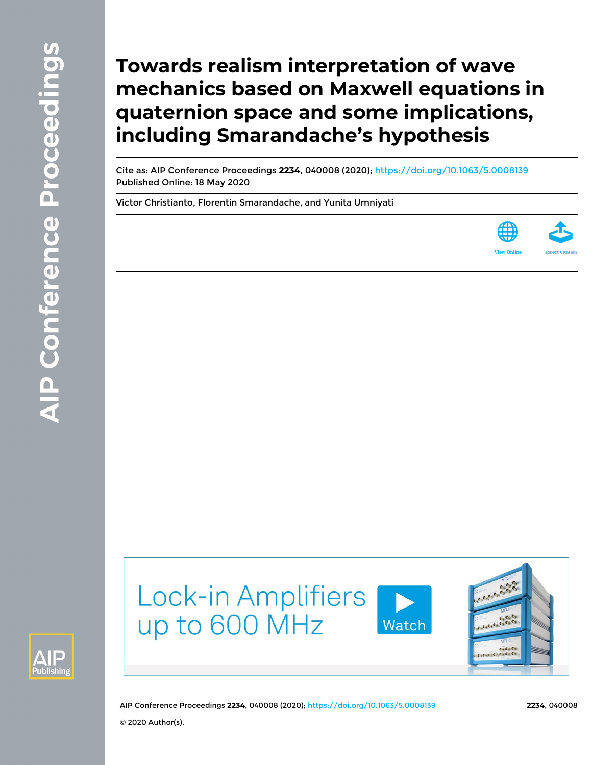# **Towards realism interpretation of wave mechanics based on Maxwell equations in quaternion space and some implications, including Smarandache's hypothesis**

Cite as: AIP Conference Proceedings **2234**, 040008 (2020); <https://doi.org/10.1063/5.0008139> Published Online: 18 May 2020

[Victor Christianto,](https://aip.scitation.org/author/Christianto%2C+Victor) [Florentin Smarandache](https://aip.scitation.org/author/Smarandache%2C+Florentin), and [Yunita Umniyati](https://aip.scitation.org/author/Umniyati%2C+Yunita)





© 2020 Author(s).

AIP Conference Proceedings **2234**, 040008 (2020); <https://doi.org/10.1063/5.0008139> **2234**, 040008

Watch

**Lock-in Amplifiers** 

up to 600 MHz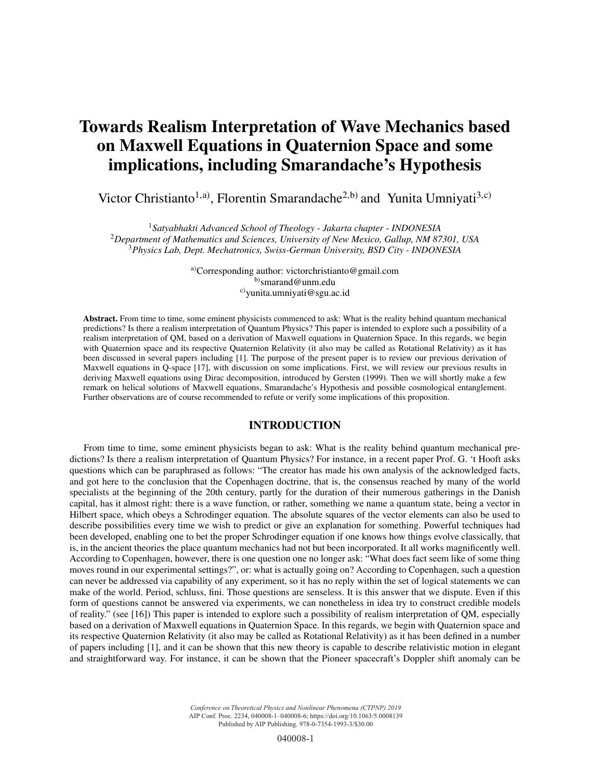# Towards Realism Interpretation of Wave Mechanics based on Maxwell Equations in Quaternion Space and some implications, including Smarandache's Hypothesis

Victor Christianto<sup>1,a)</sup>, Florentin Smarandache<sup>2,b)</sup> and Yunita Umniyati<sup>3,c)</sup>

<sup>1</sup>*Satyabhakti Advanced School of Theology - Jakarta chapter - INDONESIA* <sup>2</sup>*Department of Mathematics and Sciences, University of New Mexico, Gallup, NM 87301, USA* <sup>3</sup>*Physics Lab, Dept. Mechatronics, Swiss-German University, BSD City - INDONESIA*

> a)Corresponding author: victorchristianto@gmail.com b)smarand@unm.edu c)yunita.umniyati@sgu.ac.id

Abstract. From time to time, some eminent physicists commenced to ask: What is the reality behind quantum mechanical predictions? Is there a realism interpretation of Quantum Physics? This paper is intended to explore such a possibility of a realism interpretation of QM, based on a derivation of Maxwell equations in Quaternion Space. In this regards, we begin with Quaternion space and its respective Quaternion Relativity (it also may be called as Rotational Relativity) as it has been discussed in several papers including [1]. The purpose of the present paper is to review our previous derivation of Maxwell equations in Q-space [17], with discussion on some implications. First, we will review our previous results in deriving Maxwell equations using Dirac decomposition, introduced by Gersten (1999). Then we will shortly make a few remark on helical solutions of Maxwell equations, Smarandache's Hypothesis and possible cosmological entanglement. Further observations are of course recommended to refute or verify some implications of this proposition.

# INTRODUCTION

From time to time, some eminent physicists began to ask: What is the reality behind quantum mechanical predictions? Is there a realism interpretation of Quantum Physics? For instance, in a recent paper Prof. G. 't Hooft asks questions which can be paraphrased as follows: "The creator has made his own analysis of the acknowledged facts, and got here to the conclusion that the Copenhagen doctrine, that is, the consensus reached by many of the world specialists at the beginning of the 20th century, partly for the duration of their numerous gatherings in the Danish capital, has it almost right: there is a wave function, or rather, something we name a quantum state, being a vector in Hilbert space, which obeys a Schrodinger equation. The absolute squares of the vector elements can also be used to describe possibilities every time we wish to predict or give an explanation for something. Powerful techniques had been developed, enabling one to bet the proper Schrodinger equation if one knows how things evolve classically, that is, in the ancient theories the place quantum mechanics had not but been incorporated. It all works magnificently well. According to Copenhagen, however, there is one question one no longer ask: "What does fact seem like of some thing moves round in our experimental settings?", or: what is actually going on? According to Copenhagen, such a question can never be addressed via capability of any experiment, so it has no reply within the set of logical statements we can make of the world. Period, schluss, fini. Those questions are senseless. It is this answer that we dispute. Even if this form of questions cannot be answered via experiments, we can nonetheless in idea try to construct credible models of reality." (see [16]) This paper is intended to explore such a possibility of realism interpretation of QM, especially based on a derivation of Maxwell equations in Quaternion Space. In this regards, we begin with Quaternion space and its respective Quaternion Relativity (it also may be called as Rotational Relativity) as it has been defined in a number of papers including [1], and it can be shown that this new theory is capable to describe relativistic motion in elegant and straightforward way. For instance, it can be shown that the Pioneer spacecraft's Doppler shift anomaly can be

> *Conference on Theoretical Physics and Nonlinear Phenomena (CTPNP) 2019* AIP Conf. Proc. 2234, 040008-1–040008-6; https://doi.org/10.1063/5.0008139 Published by AIP Publishing. 978-0-7354-1993-3/\$30.00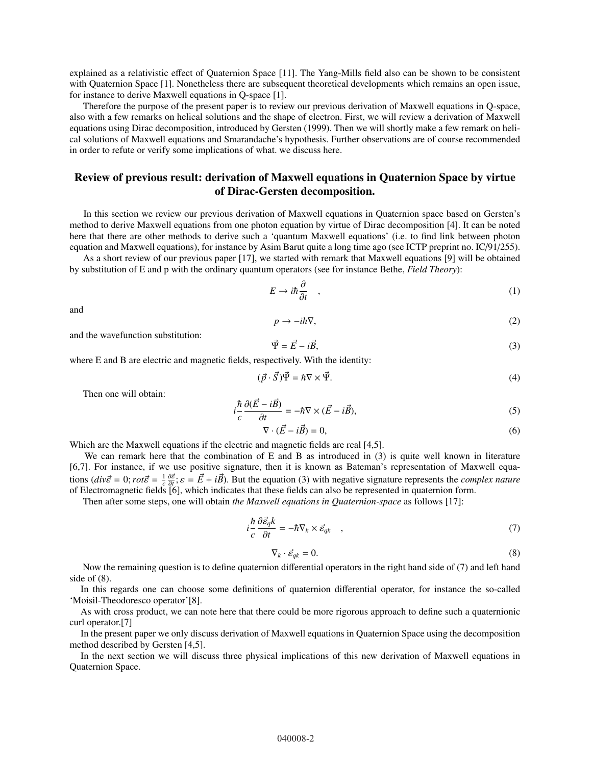explained as a relativistic effect of Quaternion Space [11]. The Yang-Mills field also can be shown to be consistent with Quaternion Space [1]. Nonetheless there are subsequent theoretical developments which remains an open issue, for instance to derive Maxwell equations in Q-space [1].

Therefore the purpose of the present paper is to review our previous derivation of Maxwell equations in Q-space, also with a few remarks on helical solutions and the shape of electron. First, we will review a derivation of Maxwell equations using Dirac decomposition, introduced by Gersten (1999). Then we will shortly make a few remark on helical solutions of Maxwell equations and Smarandache's hypothesis. Further observations are of course recommended in order to refute or verify some implications of what. we discuss here.

# Review of previous result: derivation of Maxwell equations in Quaternion Space by virtue of Dirac-Gersten decomposition.

In this section we review our previous derivation of Maxwell equations in Quaternion space based on Gersten's method to derive Maxwell equations from one photon equation by virtue of Dirac decomposition [4]. It can be noted here that there are other methods to derive such a 'quantum Maxwell equations' (i.e. to find link between photon equation and Maxwell equations), for instance by Asim Barut quite a long time ago (see ICTP preprint no. IC/91/255).

As a short review of our previous paper [17], we started with remark that Maxwell equations [9] will be obtained by substitution of E and p with the ordinary quantum operators (see for instance Bethe, *Field Theory*):

$$
E \to i\hbar \frac{\partial}{\partial t} \quad , \tag{1}
$$

and

$$
p \to -ih\nabla,\tag{2}
$$

and the wavefunction substitution:

$$
\vec{\Psi} = \vec{E} - i\vec{B},\tag{3}
$$

where E and B are electric and magnetic fields, respectively. With the identity:

$$
(\vec{p} \cdot \vec{S})\vec{\Psi} = \hbar \nabla \times \vec{\Psi}.
$$
\n(4)

Then one will obtain:

$$
i\frac{\hbar}{c}\frac{\partial(\vec{E} - i\vec{B})}{\partial t} = -\hbar\nabla \times (\vec{E} - i\vec{B}),\tag{5}
$$

$$
\nabla \cdot (\vec{E} - i\vec{B}) = 0,\t\t(6)
$$

 $\nabla \cdot (\vec{E} - i\vec{B}) = 0,$  (6)<br>Which are the Maxwell equations if the electric and magnetic fields are real [4,5].

We can remark here that the combination of E and B as introduced in (3) is quite well known in literature [6,7]. For instance, if we use positive signature, then it is known as Bateman's representation of Maxwell equations  $\left(\frac{div\vec{\varepsilon}}{=} 0; r\omega t \vec{\varepsilon} = \frac{1}{c} \frac{\partial \vec{\varepsilon}}{\partial t}; \varepsilon = \vec{E} + i\vec{B}$ . But the equation (3) with negative signature represents the *com* of Electromagnetic fields [6], which indicates that these fields can also be  $\frac{1}{c} \frac{\partial \vec{\varepsilon}}{\partial t}$ ;  $\varepsilon = \vec{E} + i\vec{B}$ ). But the equation (3) with negative signature represents the *complex nature*  $\frac{\partial \vec{\varepsilon}}{\partial t}$  is  $\frac{\partial \vec{\varepsilon}}{\partial t}$  which indicates that these fields can also be represented

Then after some steps, one will obtain *the Maxwell equations in Quaternion-space* as follows [17]:

$$
i\frac{\hbar}{c}\frac{\partial \vec{\varepsilon}_q k}{\partial t} = -\hbar \nabla_k \times \vec{\varepsilon}_{qk} \quad , \tag{7}
$$

$$
\nabla_k \cdot \vec{\varepsilon}_{qk} = 0. \tag{8}
$$

Now the remaining question is to define quaternion differential operators in the right hand side of (7) and left hand  $\sqrt{8}$ . side of (8).

In this regards one can choose some definitions of quaternion differential operator, for instance the so-called 'Moisil-Theodoresco operator'[8].

As with cross product, we can note here that there could be more rigorous approach to define such a quaternionic curl operator.[7]

In the present paper we only discuss derivation of Maxwell equations in Quaternion Space using the decomposition method described by Gersten [4,5].

In the next section we will discuss three physical implications of this new derivation of Maxwell equations in Quaternion Space.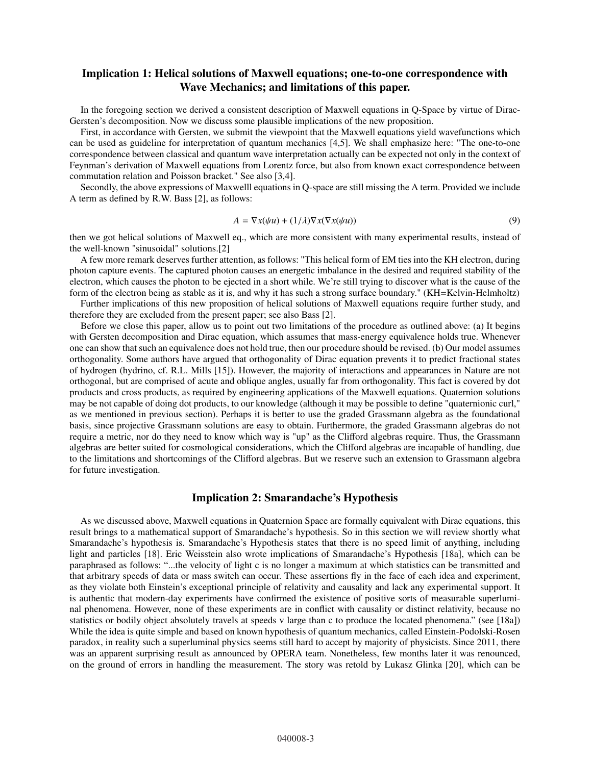# Implication 1: Helical solutions of Maxwell equations; one-to-one correspondence with Wave Mechanics; and limitations of this paper.

In the foregoing section we derived a consistent description of Maxwell equations in Q-Space by virtue of Dirac-Gersten's decomposition. Now we discuss some plausible implications of the new proposition.

First, in accordance with Gersten, we submit the viewpoint that the Maxwell equations yield wavefunctions which can be used as guideline for interpretation of quantum mechanics [4,5]. We shall emphasize here: "The one-to-one correspondence between classical and quantum wave interpretation actually can be expected not only in the context of Feynman's derivation of Maxwell equations from Lorentz force, but also from known exact correspondence between commutation relation and Poisson bracket." See also [3,4].

Secondly, the above expressions of Maxwelll equations in Q-space are still missing the A term. Provided we include A term as defined by R.W. Bass [2], as follows:

$$
A = \nabla x(\psi u) + (1/\lambda)\nabla x(\nabla x(\psi u))
$$
\n(9)

then we got helical solutions of Maxwell eq., which are more consistent with many experimental results, instead of the well-known "sinusoidal" solutions.[2]

A few more remark deserves further attention, as follows: "This helical form of EM ties into the KH electron, during photon capture events. The captured photon causes an energetic imbalance in the desired and required stability of the electron, which causes the photon to be ejected in a short while. We're still trying to discover what is the cause of the form of the electron being as stable as it is, and why it has such a strong surface boundary." (KH=Kelvin-Helmholtz)

Further implications of this new proposition of helical solutions of Maxwell equations require further study, and therefore they are excluded from the present paper; see also Bass [2].

Before we close this paper, allow us to point out two limitations of the procedure as outlined above: (a) It begins with Gersten decomposition and Dirac equation, which assumes that mass-energy equivalence holds true. Whenever one can show that such an equivalence does not hold true, then our procedure should be revised. (b) Our model assumes orthogonality. Some authors have argued that orthogonality of Dirac equation prevents it to predict fractional states of hydrogen (hydrino, cf. R.L. Mills [15]). However, the majority of interactions and appearances in Nature are not orthogonal, but are comprised of acute and oblique angles, usually far from orthogonality. This fact is covered by dot products and cross products, as required by engineering applications of the Maxwell equations. Quaternion solutions may be not capable of doing dot products, to our knowledge (although it may be possible to define "quaternionic curl," as we mentioned in previous section). Perhaps it is better to use the graded Grassmann algebra as the foundational basis, since projective Grassmann solutions are easy to obtain. Furthermore, the graded Grassmann algebras do not require a metric, nor do they need to know which way is "up" as the Clifford algebras require. Thus, the Grassmann algebras are better suited for cosmological considerations, which the Clifford algebras are incapable of handling, due to the limitations and shortcomings of the Clifford algebras. But we reserve such an extension to Grassmann algebra for future investigation.

#### Implication 2: Smarandache's Hypothesis

As we discussed above, Maxwell equations in Quaternion Space are formally equivalent with Dirac equations, this result brings to a mathematical support of Smarandache's hypothesis. So in this section we will review shortly what Smarandache's hypothesis is. Smarandache's Hypothesis states that there is no speed limit of anything, including light and particles [18]. Eric Weisstein also wrote implications of Smarandache's Hypothesis [18a], which can be paraphrased as follows: "...the velocity of light c is no longer a maximum at which statistics can be transmitted and that arbitrary speeds of data or mass switch can occur. These assertions fly in the face of each idea and experiment, as they violate both Einstein's exceptional principle of relativity and causality and lack any experimental support. It is authentic that modern-day experiments have confirmed the existence of positive sorts of measurable superluminal phenomena. However, none of these experiments are in conflict with causality or distinct relativity, because no statistics or bodily object absolutely travels at speeds v large than c to produce the located phenomena." (see [18a]) While the idea is quite simple and based on known hypothesis of quantum mechanics, called Einstein-Podolski-Rosen paradox, in reality such a superluminal physics seems still hard to accept by majority of physicists. Since 2011, there was an apparent surprising result as announced by OPERA team. Nonetheless, few months later it was renounced, on the ground of errors in handling the measurement. The story was retold by Lukasz Glinka [20], which can be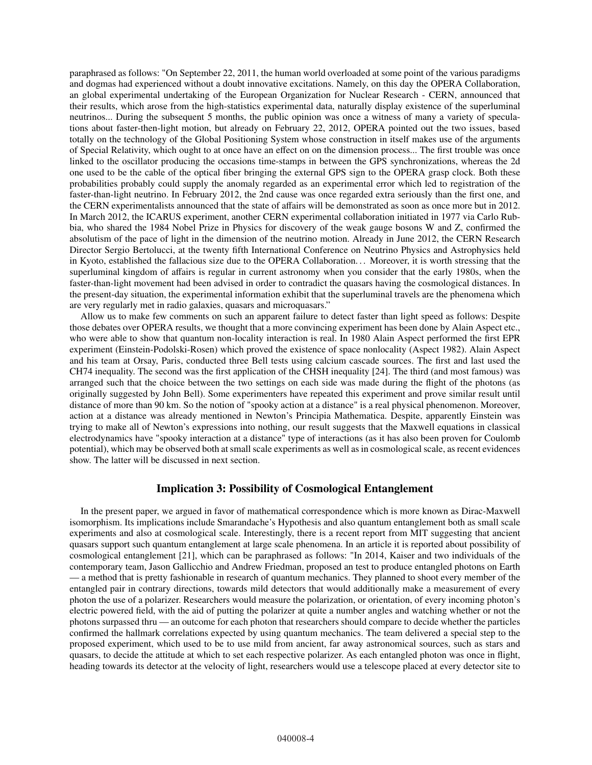paraphrased as follows: "On September 22, 2011, the human world overloaded at some point of the various paradigms and dogmas had experienced without a doubt innovative excitations. Namely, on this day the OPERA Collaboration, an global experimental undertaking of the European Organization for Nuclear Research - CERN, announced that their results, which arose from the high-statistics experimental data, naturally display existence of the superluminal neutrinos... During the subsequent 5 months, the public opinion was once a witness of many a variety of speculations about faster-then-light motion, but already on February 22, 2012, OPERA pointed out the two issues, based totally on the technology of the Global Positioning System whose construction in itself makes use of the arguments of Special Relativity, which ought to at once have an effect on on the dimension process... The first trouble was once linked to the oscillator producing the occasions time-stamps in between the GPS synchronizations, whereas the 2d one used to be the cable of the optical fiber bringing the external GPS sign to the OPERA grasp clock. Both these probabilities probably could supply the anomaly regarded as an experimental error which led to registration of the faster-than-light neutrino. In February 2012, the 2nd cause was once regarded extra seriously than the first one, and the CERN experimentalists announced that the state of affairs will be demonstrated as soon as once more but in 2012. In March 2012, the ICARUS experiment, another CERN experimental collaboration initiated in 1977 via Carlo Rubbia, who shared the 1984 Nobel Prize in Physics for discovery of the weak gauge bosons W and Z, confirmed the absolutism of the pace of light in the dimension of the neutrino motion. Already in June 2012, the CERN Research Director Sergio Bertolucci, at the twenty fifth International Conference on Neutrino Physics and Astrophysics held in Kyoto, established the fallacious size due to the OPERA Collaboration. . . Moreover, it is worth stressing that the superluminal kingdom of affairs is regular in current astronomy when you consider that the early 1980s, when the faster-than-light movement had been advised in order to contradict the quasars having the cosmological distances. In the present-day situation, the experimental information exhibit that the superluminal travels are the phenomena which are very regularly met in radio galaxies, quasars and microquasars."

Allow us to make few comments on such an apparent failure to detect faster than light speed as follows: Despite those debates over OPERA results, we thought that a more convincing experiment has been done by Alain Aspect etc., who were able to show that quantum non-locality interaction is real. In 1980 Alain Aspect performed the first EPR experiment (Einstein-Podolski-Rosen) which proved the existence of space nonlocality (Aspect 1982). Alain Aspect and his team at Orsay, Paris, conducted three Bell tests using calcium cascade sources. The first and last used the CH74 inequality. The second was the first application of the CHSH inequality [24]. The third (and most famous) was arranged such that the choice between the two settings on each side was made during the flight of the photons (as originally suggested by John Bell). Some experimenters have repeated this experiment and prove similar result until distance of more than 90 km. So the notion of "spooky action at a distance" is a real physical phenomenon. Moreover, action at a distance was already mentioned in Newton's Principia Mathematica. Despite, apparently Einstein was trying to make all of Newton's expressions into nothing, our result suggests that the Maxwell equations in classical electrodynamics have "spooky interaction at a distance" type of interactions (as it has also been proven for Coulomb potential), which may be observed both at small scale experiments as well as in cosmological scale, as recent evidences show. The latter will be discussed in next section.

### Implication 3: Possibility of Cosmological Entanglement

In the present paper, we argued in favor of mathematical correspondence which is more known as Dirac-Maxwell isomorphism. Its implications include Smarandache's Hypothesis and also quantum entanglement both as small scale experiments and also at cosmological scale. Interestingly, there is a recent report from MIT suggesting that ancient quasars support such quantum entanglement at large scale phenomena. In an article it is reported about possibility of cosmological entanglement [21], which can be paraphrased as follows: "In 2014, Kaiser and two individuals of the contemporary team, Jason Gallicchio and Andrew Friedman, proposed an test to produce entangled photons on Earth — a method that is pretty fashionable in research of quantum mechanics. They planned to shoot every member of the entangled pair in contrary directions, towards mild detectors that would additionally make a measurement of every photon the use of a polarizer. Researchers would measure the polarization, or orientation, of every incoming photon's electric powered field, with the aid of putting the polarizer at quite a number angles and watching whether or not the photons surpassed thru — an outcome for each photon that researchers should compare to decide whether the particles confirmed the hallmark correlations expected by using quantum mechanics. The team delivered a special step to the proposed experiment, which used to be to use mild from ancient, far away astronomical sources, such as stars and quasars, to decide the attitude at which to set each respective polarizer. As each entangled photon was once in flight, heading towards its detector at the velocity of light, researchers would use a telescope placed at every detector site to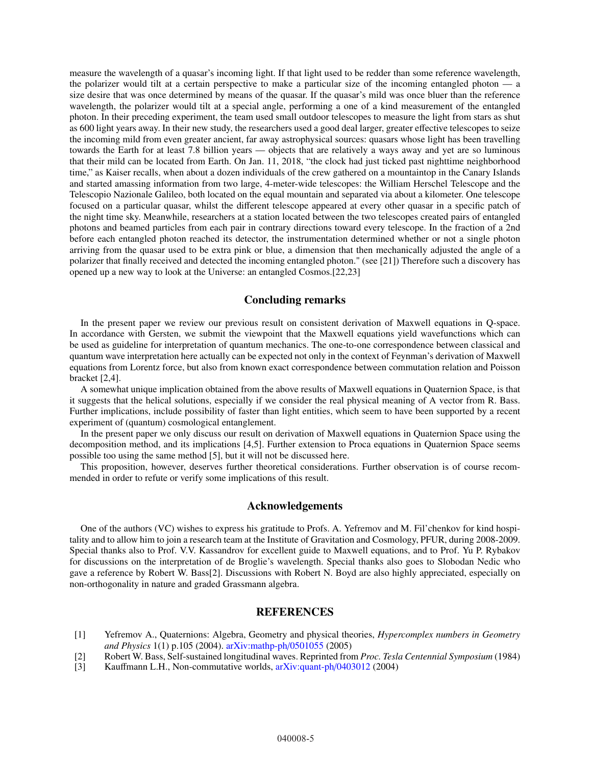measure the wavelength of a quasar's incoming light. If that light used to be redder than some reference wavelength, the polarizer would tilt at a certain perspective to make a particular size of the incoming entangled photon — a size desire that was once determined by means of the quasar. If the quasar's mild was once bluer than the reference wavelength, the polarizer would tilt at a special angle, performing a one of a kind measurement of the entangled photon. In their preceding experiment, the team used small outdoor telescopes to measure the light from stars as shut as 600 light years away. In their new study, the researchers used a good deal larger, greater effective telescopes to seize the incoming mild from even greater ancient, far away astrophysical sources: quasars whose light has been travelling towards the Earth for at least 7.8 billion years — objects that are relatively a ways away and yet are so luminous that their mild can be located from Earth. On Jan. 11, 2018, "the clock had just ticked past nighttime neighborhood time," as Kaiser recalls, when about a dozen individuals of the crew gathered on a mountaintop in the Canary Islands and started amassing information from two large, 4-meter-wide telescopes: the William Herschel Telescope and the Telescopio Nazionale Galileo, both located on the equal mountain and separated via about a kilometer. One telescope focused on a particular quasar, whilst the different telescope appeared at every other quasar in a specific patch of the night time sky. Meanwhile, researchers at a station located between the two telescopes created pairs of entangled photons and beamed particles from each pair in contrary directions toward every telescope. In the fraction of a 2nd before each entangled photon reached its detector, the instrumentation determined whether or not a single photon arriving from the quasar used to be extra pink or blue, a dimension that then mechanically adjusted the angle of a polarizer that finally received and detected the incoming entangled photon." (see [21]) Therefore such a discovery has opened up a new way to look at the Universe: an entangled Cosmos.[22,23]

#### Concluding remarks

In the present paper we review our previous result on consistent derivation of Maxwell equations in Q-space. In accordance with Gersten, we submit the viewpoint that the Maxwell equations yield wavefunctions which can be used as guideline for interpretation of quantum mechanics. The one-to-one correspondence between classical and quantum wave interpretation here actually can be expected not only in the context of Feynman's derivation of Maxwell equations from Lorentz force, but also from known exact correspondence between commutation relation and Poisson bracket [2,4].

A somewhat unique implication obtained from the above results of Maxwell equations in Quaternion Space, is that it suggests that the helical solutions, especially if we consider the real physical meaning of A vector from R. Bass. Further implications, include possibility of faster than light entities, which seem to have been supported by a recent experiment of (quantum) cosmological entanglement.

In the present paper we only discuss our result on derivation of Maxwell equations in Quaternion Space using the decomposition method, and its implications [4,5]. Further extension to Proca equations in Quaternion Space seems possible too using the same method [5], but it will not be discussed here.

This proposition, however, deserves further theoretical considerations. Further observation is of course recommended in order to refute or verify some implications of this result.

#### Acknowledgements

One of the authors (VC) wishes to express his gratitude to Profs. A. Yefremov and M. Fil'chenkov for kind hospitality and to allow him to join a research team at the Institute of Gravitation and Cosmology, PFUR, during 2008-2009. Special thanks also to Prof. V.V. Kassandrov for excellent guide to Maxwell equations, and to Prof. Yu P. Rybakov for discussions on the interpretation of de Broglie's wavelength. Special thanks also goes to Slobodan Nedic who gave a reference by Robert W. Bass[2]. Discussions with Robert N. Boyd are also highly appreciated, especially on non-orthogonality in nature and graded Grassmann algebra.

## **REFERENCES**

- [1] Yefremov A., Quaternions: Algebra, Geometry and physical theories, *Hypercomplex numbers in Geometry and Physics* 1(1) p.105 (2004). [arXiv:mathp-ph](http://arxiv.org/abs/arXiv:mathp-ph/0501055)/0501055 (2005)
- [2] Robert W. Bass, Self-sustained longitudinal waves. Reprinted from *Proc. Tesla Centennial Symposium* (1984)
- [3] Kauffmann L.H., Non-commutative worlds, [arXiv:quant-ph](http://arxiv.org/abs/arXiv:quant-ph/0403012)/0403012 (2004)